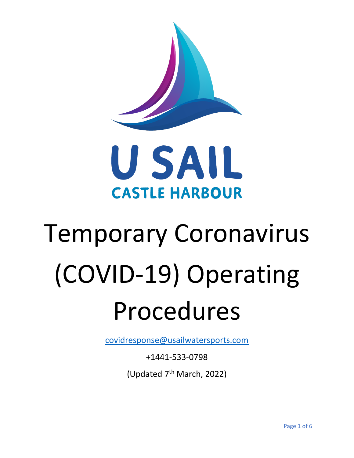



# Temporary Coronavirus (COVID-19) Operating Procedures

[covidresponse@usailwatersports.com](mailto:covidresponse@usailwatersports.com)

+1441-533-0798

(Updated 7<sup>th</sup> March, 2022)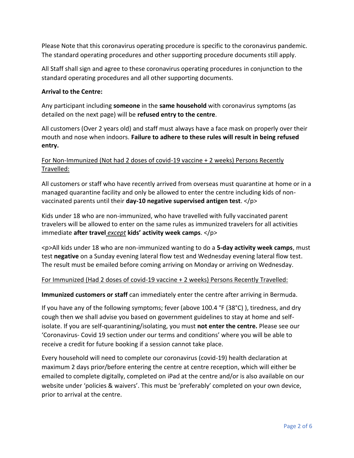Please Note that this coronavirus operating procedure is specific to the coronavirus pandemic. The standard operating procedures and other supporting procedure documents still apply.

All Staff shall sign and agree to these coronavirus operating procedures in conjunction to the standard operating procedures and all other supporting documents.

## **Arrival to the Centre:**

Any participant including **someone** in the **same household** with coronavirus symptoms (as detailed on the next page) will be **refused entry to the centre**.

All customers (Over 2 years old) and staff must always have a face mask on properly over their mouth and nose when indoors. **Failure to adhere to these rules will result in being refused entry.**

# For Non-Immunized (Not had 2 doses of covid-19 vaccine + 2 weeks) Persons Recently Travelled:

All customers or staff who have recently arrived from overseas must quarantine at home or in a managed quarantine facility and only be allowed to enter the centre including kids of nonvaccinated parents until their **day-10 negative supervised antigen test**. </p>

Kids under 18 who are non-immunized, who have travelled with fully vaccinated parent travelers will be allowed to enter on the same rules as immunized travelers for all activities immediate **after travel** *except* **kids' activity week camps**. </p>

<p>All kids under 18 who are non-immunized wanting to do a **5-day activity week camps**, must test **negative** on a Sunday evening lateral flow test and Wednesday evening lateral flow test. The result must be emailed before coming arriving on Monday or arriving on Wednesday.

# For Immunized (Had 2 doses of covid-19 vaccine + 2 weeks) Persons Recently Travelled:

**Immunized customers or staff** can immediately enter the centre after arriving in Bermuda.

If you have any of the following symptoms; fever (above 100.4 °F (38°C) ), tiredness, and dry cough then we shall advise you based on government guidelines to stay at home and selfisolate. If you are self-quarantining/isolating, you must **not enter the centre.** Please see our 'Coronavirus- Covid 19 section under our terms and conditions' where you will be able to receive a credit for future booking if a session cannot take place.

Every household will need to complete our coronavirus (covid-19) health declaration at maximum 2 days prior/before entering the centre at centre reception, which will either be emailed to complete digitally, completed on iPad at the centre and/or is also available on our website under 'policies & waivers'. This must be 'preferably' completed on your own device, prior to arrival at the centre.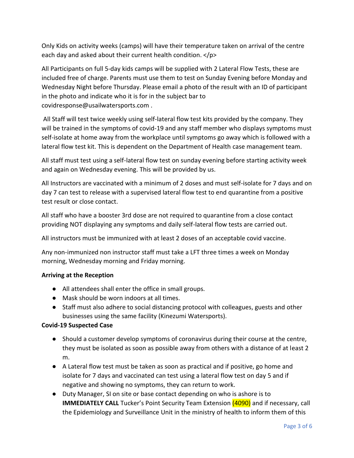Only Kids on activity weeks (camps) will have their temperature taken on arrival of the centre each day and asked about their current health condition. </p>

All Participants on full 5-day kids camps will be supplied with 2 Lateral Flow Tests, these are included free of charge. Parents must use them to test on Sunday Evening before Monday and Wednesday Night before Thursday. Please email a photo of the result with an ID of participant in the photo and indicate who it is for in the subject bar to covidresponse@usailwatersports.com .

All Staff will test twice weekly using self-lateral flow test kits provided by the company. They will be trained in the symptoms of covid-19 and any staff member who displays symptoms must self-isolate at home away from the workplace until symptoms go away which is followed with a lateral flow test kit. This is dependent on the Department of Health case management team.

All staff must test using a self-lateral flow test on sunday evening before starting activity week and again on Wednesday evening. This will be provided by us.

All Instructors are vaccinated with a minimum of 2 doses and must self-isolate for 7 days and on day 7 can test to release with a supervised lateral flow test to end quarantine from a positive test result or close contact.

All staff who have a booster 3rd dose are not required to quarantine from a close contact providing NOT displaying any symptoms and daily self-lateral flow tests are carried out.

All instructors must be immunized with at least 2 doses of an acceptable covid vaccine.

Any non-immunized non instructor staff must take a LFT three times a week on Monday morning, Wednesday morning and Friday morning.

# **Arriving at the Reception**

- All attendees shall enter the office in small groups.
- Mask should be worn indoors at all times.
- Staff must also adhere to social distancing protocol with colleagues, guests and other businesses using the same facility (Kinezumi Watersports).

## **Covid-19 Suspected Case**

- Should a customer develop symptoms of coronavirus during their course at the centre, they must be isolated as soon as possible away from others with a distance of at least 2 m.
- A Lateral flow test must be taken as soon as practical and if positive, go home and isolate for 7 days and vaccinated can test using a lateral flow test on day 5 and if negative and showing no symptoms, they can return to work.
- Duty Manager, SI on site or base contact depending on who is ashore is to **IMMEDIATELY CALL** Tucker's Point Security Team Extension (4090) and if necessary, call the Epidemiology and Surveillance Unit in the ministry of health to inform them of this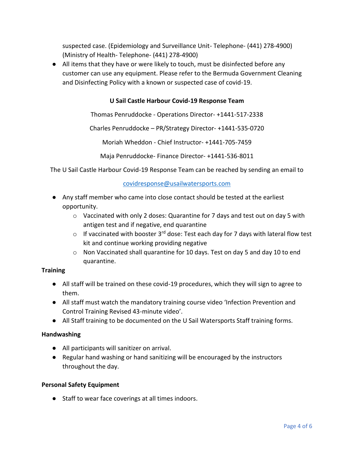suspected case. (Epidemiology and Surveillance Unit- Telephone- (441) 278-4900) (Ministry of Health- Telephone- (441) 278-4900)

● All items that they have or were likely to touch, must be disinfected before any customer can use any equipment. Please refer to the Bermuda Government Cleaning and Disinfecting Policy with a known or suspected case of covid-19.

## **U Sail Castle Harbour Covid-19 Response Team**

Thomas Penruddocke - Operations Director- +1441-517-2338

Charles Penruddocke – PR/Strategy Director- +1441-535-0720

Moriah Wheddon - Chief Instructor- +1441-705-7459

Maja Penruddocke- Finance Director- +1441-536-8011

The U Sail Castle Harbour Covid-19 Response Team can be reached by sending an email to

#### [covidresponse@usailwatersports.com](mailto:covidresponse@usailwatersports.com)

- Any staff member who came into close contact should be tested at the earliest opportunity.
	- $\circ$  Vaccinated with only 2 doses: Quarantine for 7 days and test out on day 5 with antigen test and if negative, end quarantine
	- $\circ$  If vaccinated with booster 3<sup>rd</sup> dose: Test each day for 7 days with lateral flow test kit and continue working providing negative
	- $\circ$  Non Vaccinated shall quarantine for 10 days. Test on day 5 and day 10 to end quarantine.

#### **Training**

- All staff will be trained on these covid-19 procedures, which they will sign to agree to them.
- All staff must watch the mandatory training course video 'Infection Prevention and Control Training Revised 43-minute video'.
- All Staff training to be documented on the U Sail Watersports Staff training forms.

#### **Handwashing**

- All participants will sanitizer on arrival.
- Regular hand washing or hand sanitizing will be encouraged by the instructors throughout the day.

#### **Personal Safety Equipment**

● Staff to wear face coverings at all times indoors.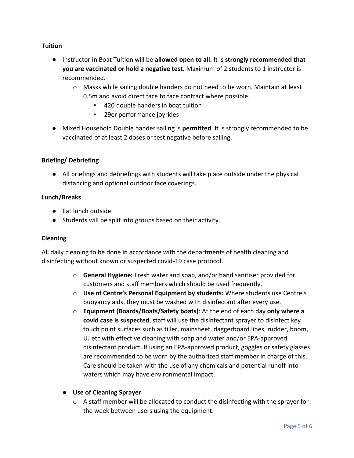## **Tuition**

- Instructor In Boat Tuition will be **allowed open to all.** It is **strongly recommended that you are vaccinated or hold a negative test.** Maximum of 2 students to 1 instructor is recommended.
	- $\circ$  Masks while sailing double handers do not need to be worn. Maintain at least 0.5m and avoid direct face to face contract where possible.
		- 420 double handers in boat tuition
		- 29er performance joyrides
- Mixed Household Double hander sailing is **permitted**. It is strongly recommended to be vaccinated of at least 2 doses or test negative before sailing.

## **Briefing/ Debriefing**

● All briefings and debriefings with students will take place outside under the physical distancing and optional outdoor face coverings.

## **Lunch/Breaks**

- Eat lunch outside
- Students will be split into groups based on their activity.

## **Cleaning**

All daily cleaning to be done in accordance with the departments of health cleaning and disinfecting without known or suspected covid-19 case protocol.

- o **General Hygiene:** Fresh water and soap, and/or hand sanitiser provided for customers and staff members which should be used frequently.
- o **Use of Centre's Personal Equipment by students:** Where students use Centre's buoyancy aids, they must be washed with disinfectant after every use.
- o **Equipment (Boards/Boats/Safety boats)**: At the end of each day **only where a covid case is suspected**, staff will use the disinfectant sprayer to disinfect key touch point surfaces such as tiller, mainsheet, daggerboard lines, rudder, boom, UJ etc with effective cleaning with soap and water and/or EPA-approved disinfectant product. If using an EPA-approved product, goggles or safety glasses are recommended to be worn by the authorized staff member in charge of this. Care should be taken with the use of any chemicals and potential runoff into waters which may have environmental impact.

## ● **Use of Cleaning Sprayer**

 $\circ$  A staff member will be allocated to conduct the disinfecting with the sprayer for the week between users using the equipment.